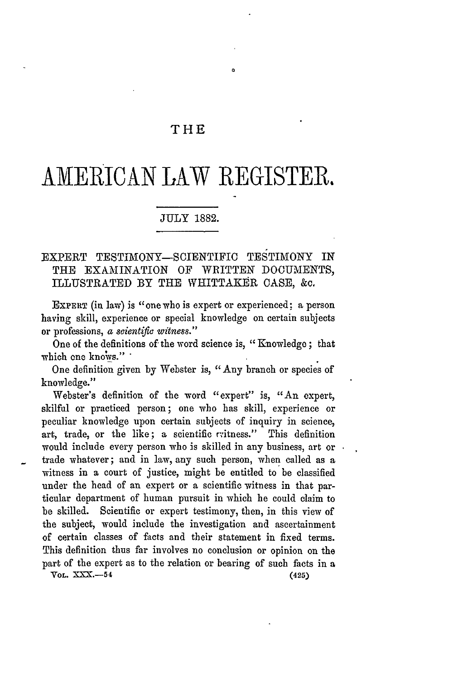# THE

# **AMERICAN** LAW REGISTER.

## JULY 1882.

# EXPERT TESTIMONY-SCIENTIFIO TESTIMONY IN THE EXAMINATION OF WRITTEN DOCUMENTS, ILLUSTRATED BY THE WHITTAKER CASE, &c.

EXPERT (in law) is "one who is expert or experienced; a person having skill, experience or special knowledge on certain subjects or professions, *a scientific witness."*

One of the definitions of the word science is, "Knowledge; that which one knows."

One definition given by Webster is, "Any branch or species of knowledge."

Webster's definition of the word "expert" is, "An expert, skilful or practiced person; one who has skill, experience or peculiar knowledge upon certain subjects of inquiry in science, art, trade, or the like; a scientific ritness." This definition would include every person who is skilled in any business, art or trade whatever; and in law, any such person, when called as a witness in a court of justice, might be entitled to be classified under the head of an expert or a scientific witness in that particular department of human pursuit in which he could claim to be skilled. Scientific or expert testimony, then, in this view of the subject, would include the investigation and ascertainment of certain classes of facts and their statement in fixed terms. This definition thus far involves no conclusion or opinion on the part of the expert as to the relation or bearing of such facts in a **VOL. XXX.-54 (425)**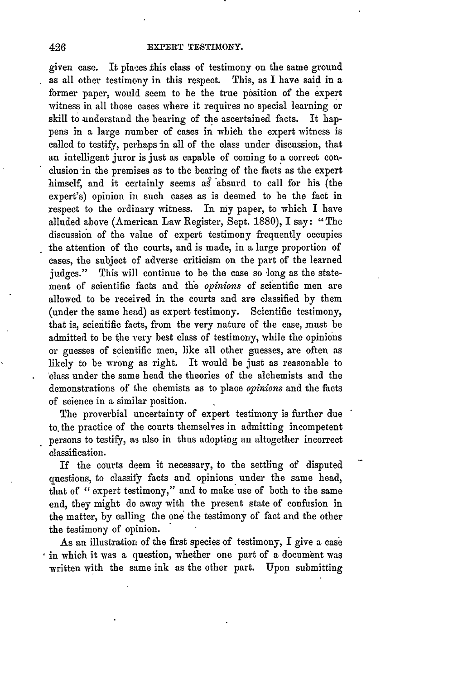given case. It places this class of testimony on the same ground as all other testimony in this respect. This, as I have said in a former paper, would seem to be the true position of the expert witness in all those cases where it requires no special learning or skill to understand the bearing of the ascertained facts. It happens in a large number of cases in wbich the expert witness is called to testify, perhaps in all of the class under discussion, that an intelligent juror is just as capable of coming to a correct conclusion in the premises as to the bearing of the facts as the expert himself, and it certainly seems as absurd to call for his (the expert's) opinion in such cases as is deemed to be the fact in respect to the ordinary witness. In my paper, to which I have alluded above (American Law Register, Sept. 1880), I say: "The discussion of the value of expert testimony frequently occupies the attention of the courts, and is made, in a large proportion of cases, the subject **of** adverse criticism on the part of the learned judges." This will continue to be the case so long as the statement of scientific facts and the *opinions* of scientific men are allowed to be received in the courts and are classified **by** them (under the same head) as expert testimony. Scientific testimony, that is, scientific facts, from the very nature of the case, must be admitted to be the very best class of testimony, while the opinions or guesses of scientific men, like all other guesses, are often as likely to be wrong as right. It would be just as reasonable to class under the same head the theories of the alchemists and the demonstrations of the chemists as to place *opinions* and the facts of science in a similar position.

The proverbial uncertainty of expert testimony is further due to. the practice of the courts themselves in admitting incompetent persons to testify, as also in thus adopting an altogether incorrect classification.

If the courts deem it necessary, to the settling of disputed questions, to classify facts and opinions under the same head, that of "expert testimony," and to make use of both to the same end, they might do away with the present state of confusion in the matter, by calling the one the testimony of fact and the other the testimony of opinion.

As an illustration of the first species of testimony, I give a case in which it was a question, whether one part of a document was written with the same ink as the other part. Upon submitting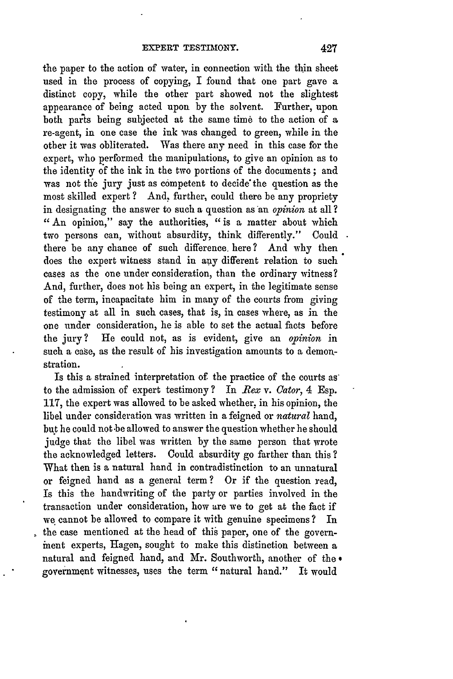the paper to the action of water, in connection with the thin sheet used in the process of copying, I found that one part gave a distinct copy, while the other part showed not the slightest appearance of being acted upon by the solvent. Further, upon both parts being subjected at the same time to the action of a re-agent, in one case the ink was changed to green, while in the other it was obliterated. Was there any need in this case for the expert, who performed the manipulations, to give an opinion as to the identity of the ink in the two portions of the documents ; and was not the jury just as competent to decide'the question as the most skilled expert ? And, further, could there be any propriety in designating the answer to such a question as 'an *opinion* at all? *"An* opinion," say the authorities, *"is* a matter about which two persons can, without absurdity, think differently." Could . there be any chance of such difference, here? And why then does the expert witness stand in any different relation to such cases as the one under consideration, than the ordinary witness? And, further, does not his being an expert, in the legitimate sense of the term, incapacitate him in many of the courts from giving testimony at all in such cases, that is, in cases where, as in the one under consideration, he is able to set the actual facts before the jury ? He could not, as is evident, give an *opinion* in such a case, as the result of his investigation amounts to a demonstration.

Is this a strained interpretation of the practice of the courts as to the admission of expert testimony? In *Bex v. Cator,* 4 Esp. 117, the expert was allowed to be asked whether, in his opinion, the libel under consideration was written in a feigned or *natural* hand, but he could not.be allowed to answer the question whether he should judge that the libel was written by the same person that wrote the acknowledged letters. Could absurdity go farther than this **?** What then is a natural hand in contradistinction to an unnatural or feigned hand as a general term? Or if the question read, Is this the handwriting of the party or parties involved in the transaction under consideration, how are we to get at the fact if we cannot be allowed to compare it with genuine specimens? In the case mentioned at the head of this paper, one of the governinent experts, Hagen, sought to make this distinction between a natural and feigned hand, and Mr. Southworth, another of the. government witnesses, uses the term "natural hand." It would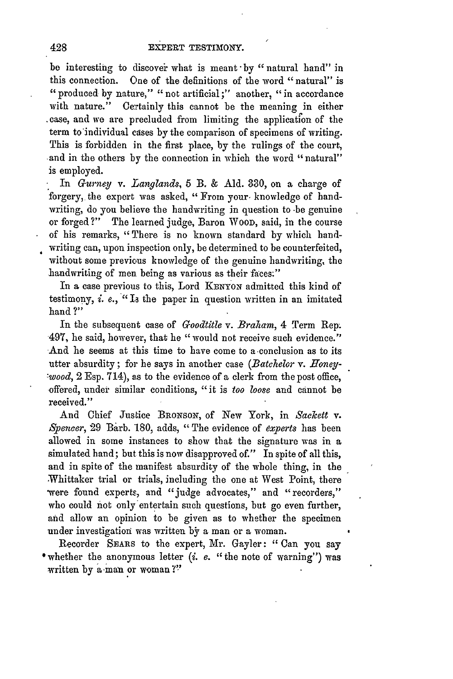be interesting to discover what is meant by "natural hand" in this connection. One of the definitions of the word "natural" is "produced **by** nature," " not artificial ;" another, "in accordance with nature." Certainly this cannot be the meaning in either .case, and we are precluded from limiting the application of the term to'individual eases by the comparison of specimens of writing. This is forbidden in the first place, by the rulings of the court, and in the others by the connection in which the word "natural" is employed.

In *Crurney v. langlands,* 5 B. **&** Ald. 330, on a charge of forgery, the expert was asked, "From your knowledge of handwriting, do you believe the handwriting in question to .be genuine or forged **?"** The learned judge, Baron WOOD, said, in the course of his remarks, "There is no known standard by which handwriting can, upon inspection only, be determined to be counterfeited, without some previous knowledge of the genuine handwriting, the handwriting of men being as various as their faces:"

In a case previous to this, Lord KENYON admitted this kind of testimony, *i. e.,* **"13** the paper in question written in an imitated hand ?"

In the subsequent case of *Goodtitle v. Braham,* 4 Term Rep. 497, he said, however, that he "would not receive such evidence." And he seems at this time to have come to a conclusion as to its utter absurdity; for he says in another case *(Batchelor v. Honey- 'wood,* 2 Esp. 714), as to the evidence of a clerk from the post office, offered, under similar conditions, "it is *too loose* and cannot be received."

And Chief Justice BRONSON, of New York, in Sackett v. *SPencer,* **29** Barb. 180, adds, "The evidence of *experts* has been allowed in some instances to show that the signature was in **a** simulated hand; but this is now disapproved of." In spite of all this, and in spite of the manifest absurdity of the whole thing, in the .Whittaker trial or trials, including the one at West Point, there were found experts, and "judge advocates," and "recorders," who could not only entertain such questions, but go even further, and allow an opinion to be given as to whether the specimen under investigation was written by a man or a woman.

Recorder **SEARS** to the expert, Mr. Gayler: " Can you say \* whether the anonymous letter *(i. e.* "the note of warning") was written by a-man or woman".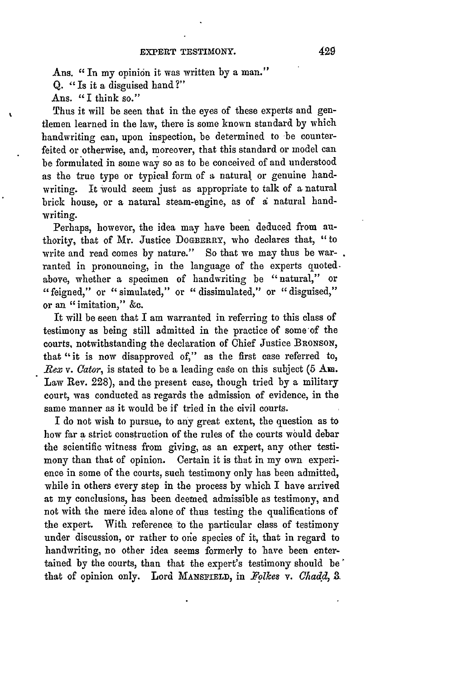Ans. *"In* my opinion it was written **by** a man."

Q. "Is it a disguised hand **?"**

Ans. "I think so."

Thus it will be seen that in the eyes of these experts and gentlemen learned in the law, there is some known standard by which handwriting can, upon inspection, be determined to be counterfeited or otherwise, and, moreover, that this standard or model can be formulated in some way so as to be conceived of and understood as the true type or typical form of a natural or genuine handwriting. It would seem just as appropriate to talk of a natural brick house, or a natural steam-engine, as of **d** natural handwriting.

Perhaps, however, the idea may have been deduced from authority, that of Mr. Justice DoGBERrY, who declares that, "to write and read comes by nature." So that we may thus be war-. ranted in pronouncing, in the language of the experts quoted. above, whether a specimen of handwriting be "natural," or "feigned," or "simulated," or "dissimulated," or "disguised," or an "imitation," &c.

It will be seen that I am warranted in referring to this class of testimony as being still admitted in the practice of some of the courts, notwithstanding the declaration of Chief Justice BRoNsoN, that "it is now disapproved of," as the first case referred to, *Rex v. Cator,* is stated to be a leading case on this subject (5 Am. Law Rev. **228),** and the present case, though tried by a military court, was conducted as regards the admission of evidence, in the same manner as it would be if tried in the civil courts.

I do not wish to pursue, to any great extent, the question as to how far a strict construction of the rules of the courts wbuld debar the scientific witness from giving, as an expert, any other testimony than that of opinion. Certain it is that in my own experience in some of the courts, such testimony only has been admitted, while in others every step in the process by which I have arrived at my conclusions, has been deemed admissible as testimony, and not with the mere idea alone of thus testing the qualifications of the expert. With reference to the particular class of testimony under discussion, or rather to one species of it, that in regard to handwriting, no other idea seems formerly to have been entertained by the courts, than that the expert's testimony should be that of opinion only. Lord MANSFIBLD, in *Folees v. Chadd, 2.*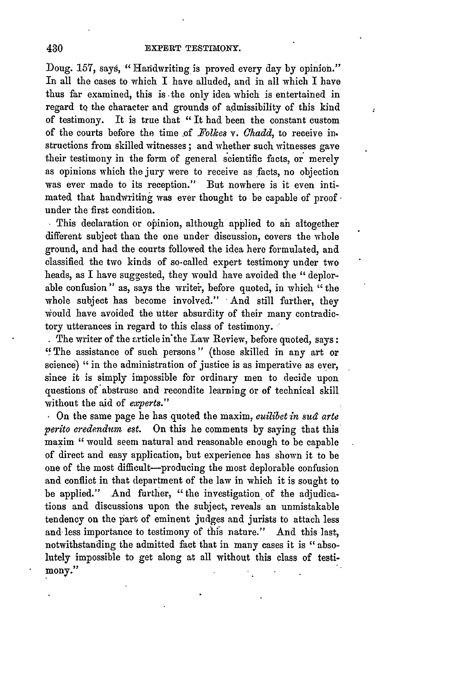Doug. 157, says, "Handwriting is proved every day by opinion." In all the cases to which I have alluded, and in all which I have thus far examined, this is .the only idea which is entertained in regard to the character and grounds of admissibility of this kind of testimony. It is true that "It had been the constant custom of the courts before the time .of *Polkes v. Chadd,* to receive in. structions from skilled witnesses; and whether such witnesses gave their testimony in the form of general scientific facts, or merely as opinions which the jury were to receive as facts, no objection was ever made to its reception." But nowhere is it even intimated that handwriting was ever thought to be capable of proof. under the first condition.

ż

This declaration or opinion, although applied to ah altogether different subject than the one under discussion, covers the whole ground, and had the courts followed the idea here formulated, and classified the two kinds of so-called expert testimony under two heads, as I have suggested, they would have avoided the "deplorable confusion" as, says the writer, before quoted, in which  $\cdot$  the whole subject has become involved." And still further, they would have avoided the utter absurdity of their many contradictory utterances in regard to this class of testimony.

**.**The writer of the articlein'the Law Review, before quoted, says: **"** The assistance of such persons" (those skilled in any art or science) " in the administration of justice is as imperative as ever, since it is simply impossible for ordinary men to decide upon questions of abstruse and recondite learning or of technical skill without the aid of experts."

On the same page he has quoted the maxim, *cuilibet in sud arte perito credendum est.* On this he comments by saying that this maxim "would seem natural and reasonable enough to be capable of direct and easy application, but experience has shown it to be one of the most difficult-producing the most deplorable confusion and conflict in that department of the law in which it is sought to be applied." And further, "the investigation of the adjudications and discussions upon the subject, reveals an unmistakable tendency on the part of eminent judges and jurists to attach less and less importance to testimony of this nature." And this last, notwithstanding the admitted fact that in many cases it is "absolutely impossible to get along at all without this class of testimony."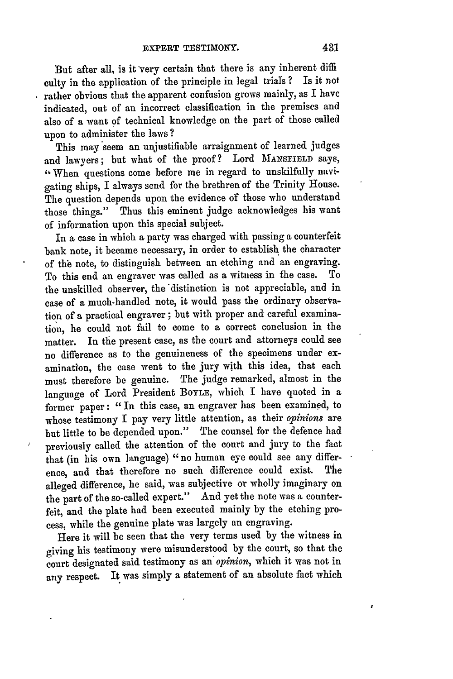But after all, is it very certain that there is any inherent diffi culty in the application of the principle in legal trials ? Is it not rather obvious that the apparent confusion grows mainly, as I have indicated, out of an incorrect classification in the premises and also of a want of technical knowledge on the part of those called upon to administer the laws?

This may seem an unjustifiable arraignment of learned judges and lawyers; but what of the proof? Lord **MANSFIELD** says, "When questions come before me in regard to unskilfully navigating ships, I always send for the brethren of the Trinity House. The question depends upon the evidence of those who understand those things." Thus this eminent judge acknowledges his want of information upon this special subject.

In a case in which a party was charged with passing a counterfeit bank note, it became necessary, in order to establish the character of the note, to distinguish between an etching and an engraving. To this end an engraver was called as a witness in the case. To the unskilled observer, the 'distinction is not appreciable, and in case of a much-bandled note, it would pass the ordinary observation of a practical engraver; but with proper and careful examination, he could not fail to come to a correct conclusion in the matter. In the present case, as the court and attorneys could see no difference as to the genuineness of the specimens under examination, the case went to the jury with this idea, that each must therefore be genuine. The judge remarked, almost in the language of Lord President BOYLE, which I have quoted in a former paper: **"In** this case, an engraver has been examined, to whose testimony I pay very little attention, as their *opinions* are but little to be depended upon." The counsel for the defence had previously called the attention of the court and jury to the fact that (in his own language) "no human eye could see any differ-<br>once and that therefore no such difference could exist. The ence, and that therefore no such difference could exist. alleged difference, he said, was subjective or wholly imaginary on the part of the so-called expert." And yet the note was a counterfeit, and the plate had been executed mainly by the etching process, while the genuine plate was largely an engraving.

 $\overline{I}$ 

Here it will be seen that the very terms used by the witness in giving his testimony were misunderstood by the court, so that the court designated said testimony as an *opinion,* which it was not in any respect. It was simply a statement of an absolute fact which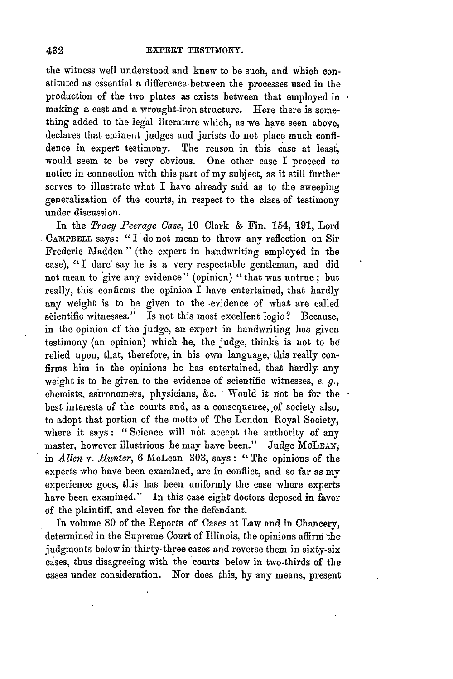the witness well understood and knew to be such, and which constituted as essential a difference between the processes used in the production of the two plates as exists between that employed in making a cast and a. wrought-iron structure. Here there is something added to the legal literature which, as we have seen above, declares that eminent judges and jurists do not place much confidence in expert testimony. The reason in this case at least, would seem to be very obvious. One other case I proceed to notice in connection with this part of my subject, as it still further serves to illustrate what I have already said as to the sweeping generalization of the courts, in respect to the class of testimony under discussion.

In the *Tracy Peerage Case*, 10 Clark & Fin. 154, 191, Lord CAMPBELL says: "I do not mean to throw any reflection on Sir Frederic Madden" (the expert in handwriting employed in the case), "I dare say he is a very respectable gentleman, and did not mean to give any evidence" (opinion) "that was untrue; but really, this confirms the opinion I have entertained, that hardly any weight is to be given to the -evidence of what are called scientific witnesses." Is not this most excellent logic? Because, in the opinion of the judge, an expert in handwriting has given testimony (an opinion) which he, the judge, thinks is not to **be** relied upon, that, therefore, in his own language, this really confirms him in the opinions he has entertained, that hardly any weight is to be given to the evidence of scientific witnesses, *e. g.,* chemists, astronomers, physicians, **&c.** Would it not be for the best interests of the courts and, as a consequence, of society also, to adopt that portion of the motto of The London Royal Society, where it says: "Science will not accept the authority of any master, however illustrious he may have been." Judge McLEAN, in *Allen v. Hiunter,* 6 McLean 803, says : "The opinions of the experts who have been examined, are in conflict, and so far as my experience goes, this has been uniformly the case where experts have been examined.'" In this case eight doctors deposed in favor of the plaintiff, and eleven for the defendant.

In volume 80 of the Reports of Cases at Law and in Chancery, determined in the Supreme Court of Illinois, the opinions affirm the judgments below in thirty-three cases and reverse them in sixty-six cases, thus disagreeing with the courts below in two-thirds of the cases under consideration. Nor does this, by any means, present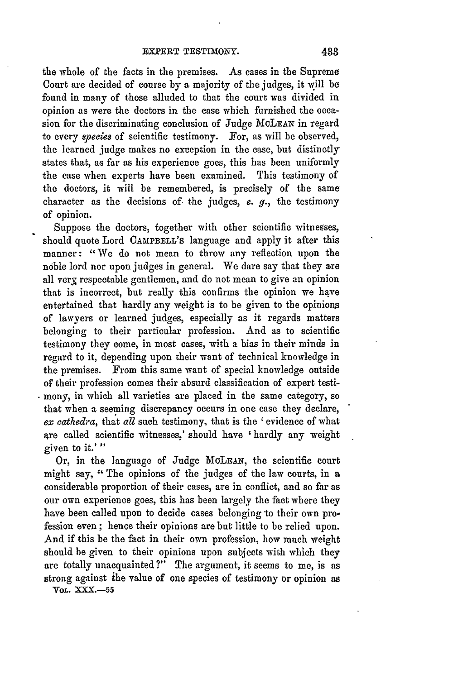the whole of the facts in the premises. As cases in the Supreme Court are decided of course by a majority of the judges, it will be found in many of those alluded to that the court was divided in opinion as were the doctors in the case which furnished the occasion for the discriminating conclusion of Judge **McLEAN** in regard to every *species* of scientific testimony. For, as will be observed, the learned judge makes no exception in the case, but distinctly states that, as far as his experience goes, this has been uniformly the case when experts have been examined. This testimony of the doctors, it will be remembered, is precisely of the same character as the decisions of the judges, *e. g.,* the testimony of opinion.

Suppose the doctors, together with other scientific witnesses, should quote Lord CAMPBELL's language and apply it after this manner: "We do not mean to throw any reflection upon the noble lord nor upon judges in general. We dare say that they are all very respectable gentlemen, and do not mean to give an opinion that is incorrect, but really this confirms the opinion we have entertained that hardly any weight is to be given to the opinions of lawyers or learned judges, especially as it regards matters belonging to their particular profession. And as to scientific testimony they come, in most cases, with a bias in their minds in regard to it, depending upon their want of technical knowledge in the premises. From this same want of special knowledge outside of their profession comes their absurd classification of expert testimony, in which all varieties are placed in the same category, so that when a seeming discrepancy occurs in one case they declare, *ez cathedra,* that all such testimony, that is the ' evidence of what **are** called scientific witnesses,' should have 'hardly any weight given to it.' **"**

Or, in the language of Judge **MCLEAN,** the scientific court might say, " The opinions of the judges of the law courts, in a considerable proportion of their cases, are in conflict, and so far as our own experience goes, this has been largely the fact where they have been called upon to decide cases belonging to their own profession even; hence their opinions are but little to be relied upon. And if this be the fact in their own profession, how much weight should be given to their opinions upon subjects with which they are totally unacquainted **?"** The argument, it seems to me, is as strong against the value of one species of testimony or opinion as

**VoL. XXX.-55**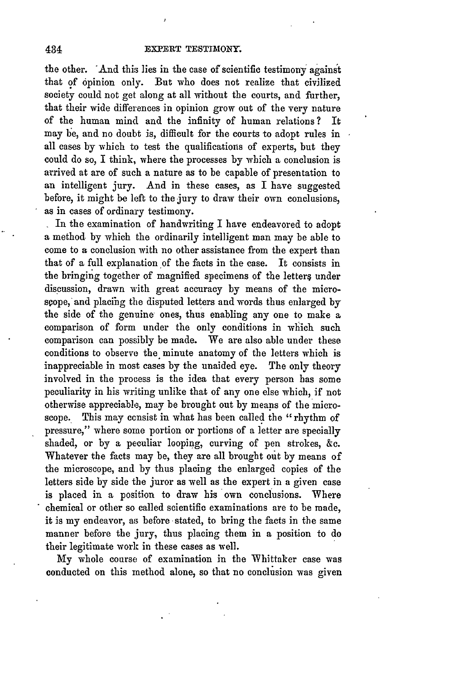the other. And this lies in the case of scientific testimony against that of opinion only. But who does not realize that civilized society could not get along at all without the courts, and further, that their wide differences in opinion grow out of the very nature of the human mind and the infinity of human relations? It may be, and no doubt is, difficult for the courts to adopt rules in all cases **by** which to test the qualifications of experts, but they could do so, I think, where the processes **by** which a conclusion is arrived at are of such a nature as to be capable of presentation to an intelligent jury. And in these cases, as I have suggested before, it might be left to the jury to draw their own conclusions, as in cases of ordinary testimony.

In the examination of handwriting I have endeavored to adopt a method. **by** which the ordinarily intelligent man may be able to come to a conclusion with no other assistance from the expert than that of a full explanation of the facts in the case. It consists in the bringing together of magnified specimens of the letters under discussion, drawn with great accuracy **by** means of the microspope, and placihg the disputed letters and words thus enlarged **by** the side of the genuine ones, thus enabling any one to make a comparison of form under the only conditions in which such comparison can possibly be made. We are also able under these conditions to observe the minute anatomy of the letters which is inappreciable in most cases **by** the unaided eye. The only theory involved in the process is the idea that every person has some peculiarity in his writing unlike that of any one else which, if not otherwise appreciable, may be brought out by means of the microscope. This may consist in what has been called the "rhythm of pressure," where some portion or portions of a letter are specially shaded, or by a peculiar looping, curving of pen strokes, **&c.** Whatever the facts may be, they are all brought **out by** means of the microscope, and by thus placing the enlarged copies of the letters side **by** side the juror as well as the expert in a given case is placed in a position to draw his own conclusions. Where chemical or other so called scientific examinations are to be made, it is my endeavor, as before stated, to bring the facts in the same manner before the jury, thus placing them in a position to do their legitimate work in these cases as well.

My whole course of examination in the Whittaker case was conducted on this method alone, so that no conclusion was given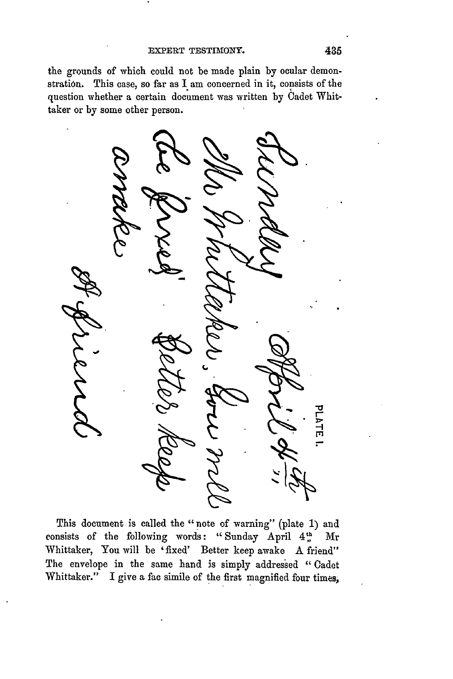the grounds of which could not be made plain **by** ocular demonstration. This case, so far as I am concerned in it, consists of the question whether a certain document was written by Cadet Whittaker or by some other person.

**4**<br>2

This document is called the "note of warning" (plate 1) and consists of the following words: "Sunday April 4th Mr Whittaker, You will be 'fixed' Better keep awake A friend" The envelope in the same hand is simply addressed *"* Cadet Whittaker." I give a fac simile of the first magnified four times,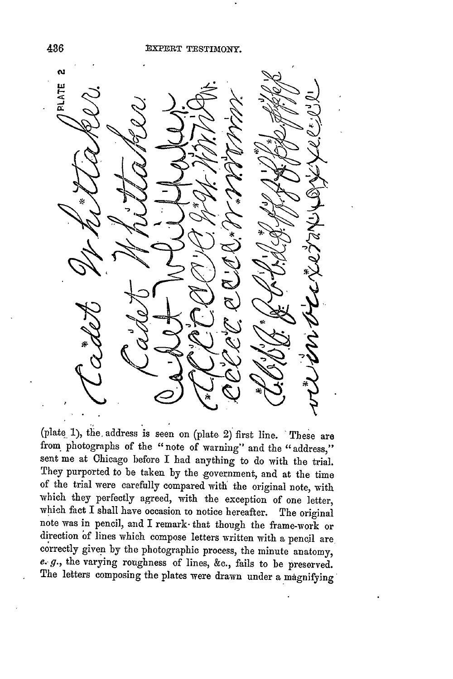

(plate 1), the address is seen on (plate 2) first line. These are from photographs of the "note of warning" and the "address," sent me at Chicago before I had anything to do with the trial. They purported to be taken by the government, and at the time of the trial were carefully compared with the original note, with which they perfectly agreed, with the exception of one letter, which fact I shall have occasion to notice hereafter. The original note was in pencil, and I remark- that though the frame-work or direction **of** lines which compose letters written with a pencil are correctly given **by** the photographic process, the minute anatomy, *e. g.,* the varying roughness of lines, **&c.,** fails to be preserved. The letters composing the plates were drawn under a magnifying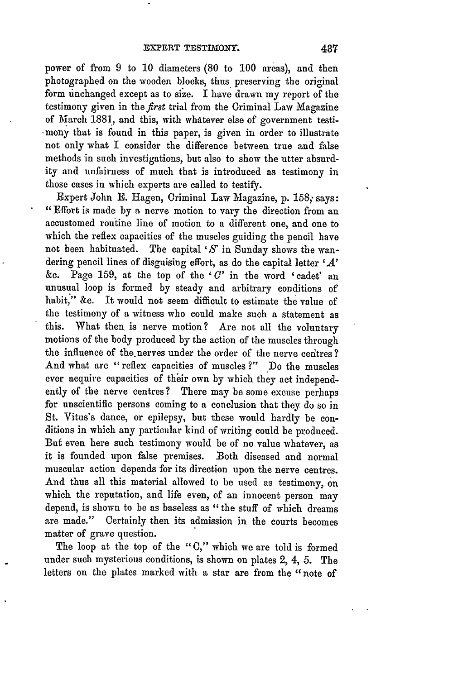power of from 9 to **10** diameters (80 to **100** areas), and then photographed on the wooden blocks, thus, preserving the original form unchanged except as to size. I have drawn my report of the testimony given in *thefirst* trial from the Criminal Law Magazine of March 1881, and this, with whatever else of government testi- **\*mony** that is found in this paper, is given in order to illustrate not only what I consider the difference between true and false methods in such investigations, but also to show the utter absurdity and unfairness of much that is introduced as testimony in those cases in which experts are called to testify.

Expert John **E.** Hagen, Criminal Law Magazine, **p.** 158; says: "Effort is made by a nerve motion to vary the direction from an accustomed routine line of motion to a different one, and one to which the reflex capacities of the muscles guiding the pencil have not been habituated. The capital 'S' in Sunday shows the wandering pencil lines of disguising effort, as do the capital letter *'A'* **&c.** Page 159, at the top of the *'C'* in the word 'cadet' an unusual loop is formed by steady and arbitrary conditions of habit," **&c.** It would not seem difficult to estimate the value of the testimony of a witness who could make such a statement as this. What then is nerve motion? Are not all the voluntary motions of the body produced **by** the action of the muscles through the influence of the.nerves under the order of the nerve centres **?** And what are "reflex capacities of muscles ?" Do the muscles ever acquire capacities of their own by which they act independently of the nerve centres ? There may be some excuse perhaps for unscientific persons coming to a conclusion that they do so in St. Yitus's dance, or epilepsy, but these would hardly be conditions in which any particular kind of writing could be produced. But even here such testimony would be of no value whatever, as it is founded upon false premises. Both diseased and normal muscular action depends for its direction upon the nerve centres. And thus all this material allowed to be used as testimony, on which the reputation, and life even, of an innocent person may depend, is shown to be as baseless as "the stuff of which dreams are made." Certainly then its admission in the courts becomes matter of grave question.

The loop at the top of the **"C,"** which we are told is formed under such mysterious conditions, is shown on plates 2, 4, 5. The letters on the plates marked with a star are from the "note of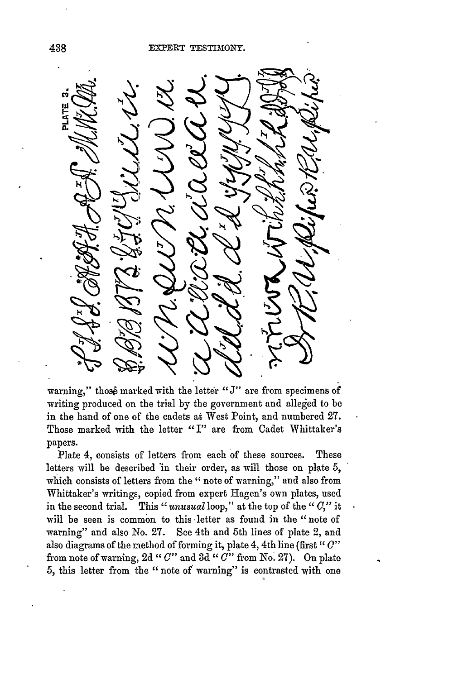PLATE

warning," those marked with the letter "J" are from specimens of -writing produced on the trial **by** the government and alleged to be in the hand of one of the cadets at West Point, and numbered **27.** Those marked with the letter "I" are from Cadet Whittaker's papers.

Plate 4, consists of letters from each of these sources. These letters will be described 'in their order, as will those on plate **5,** which consists of letters from the *"* note of warning," and also from Whittaker's writings, copied from expert Hagen's own plates, used in the second trial. This *"unusual* loop," at the top of the *"C,"* it will be seen is common to this letter as found in the "note of warning" and also No. **27.** See 4th and 5th lines of plate 2, and also diagrams of the method of forming it, plate 4, 4th line (first "  $C$ " from note of warning,  $2d \cdot C$ " and  $3d \cdot C$ " from No. 27). On plate 5, this letter from the "note of warning" is contrasted with one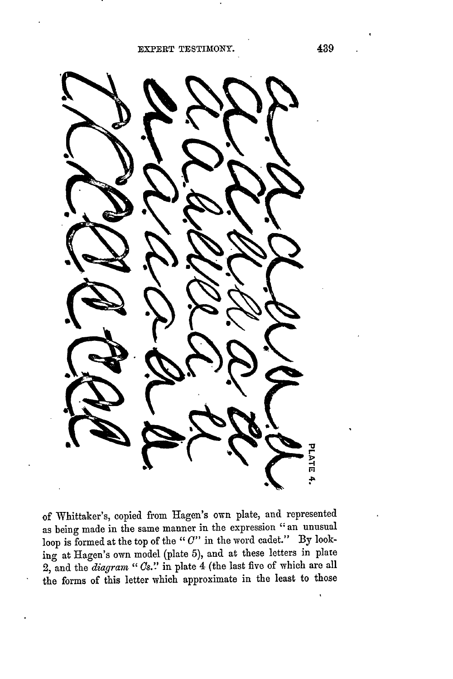

of Whittaker's, copied from Hagen's own plate, and represented as being made in the same manner in the expression "an unusual loop is formed at the top of the " $C$ " in the word cadet." By looking at Hagen's own model (plate 5), and at these letters in plate 2, and the *diagram "0s. '* in plate 4 (the last five of which are all the forms of this letter which approximate in the least to those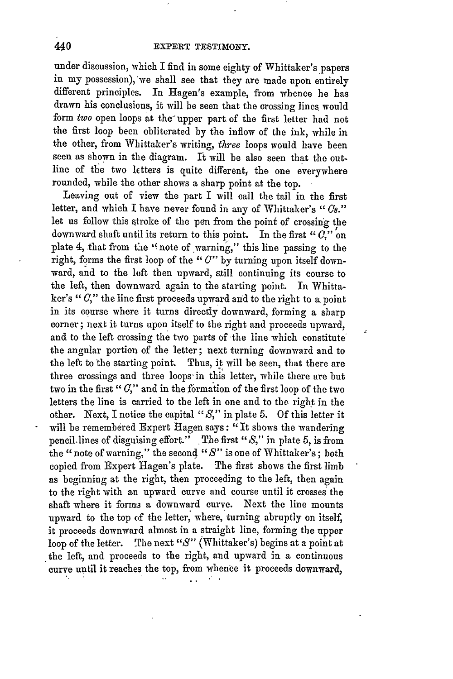under discussion, which I find in some eighty of Whittaker's papers in my possession), we shall see that they are made upon entirely different principles. In Hagen's example, from whence he has drawn his conclusions, it will be seen that the crossing lines would form two open loops at the upper part of the first letter had not the first loop been obliterated by the inflow of the ink, while in the other, from Whittaker's writing, *three* loops would have been seen as shown in the diagram. It will be also seen that the outline of the two letters is quite different, the one everywhere rounded, while the other shows a sharp point at the top.

Leaving out of view the part I will call the tail in the first letter, and which I have never found in any of Whittaker's "Cs." let us follow this stroke of the pen from the point of crossing the downward shaft until its return to this point. In the first *"C,"* on plate 4, that from the "note of warning," this line passing to the right, forms the first loop of the "C" by turning upon itself downward, and to the left then upward, still continuing its course to the left, then downward again to the starting point. In Whittaker's " $C$ ," the line first proceeds upward and to the right to a point in its course where it turns directly downward, forming a sharp corner; next it turns upon itself to the right and proceeds upward, and to the left crossing the two parts of the line which constitute the angular portion of the letter; next turning downward and to the left to the starting point. Thus, it will be seen, that there are three crossings and three loops-in this letter, while there are but two in the first " $C$ ," and in the formation of the first loop of the two letters the line is carried to the left in one and to the right in the other. Next, I notice the capital "S," in plate 5. Of this letter it will be remembered Expert Hagen says: "It shows the wandering penciLlines of disguising effort." The first "S," in plate **5,** is from the "note of warning," the second "S" is one of Whittaker's; both copied from Expert Hagen's plate. The first shows the first limb as beginning at the right, then proceeding to the left, then again to the right with an upward curve and course until it crosses the shaft where it forms a downward curve. Next the line mounts upward to the top of the letter, where, turning abruptly on itself, it proceeds downward almost in a straight line, forming the upper loop of the letter. The next "S" (Whittaker's) begins at a point at .the left, and proceeds to the right, and upward in a continuous curve until it reaches the top, from whence it proceeds downward,

ċ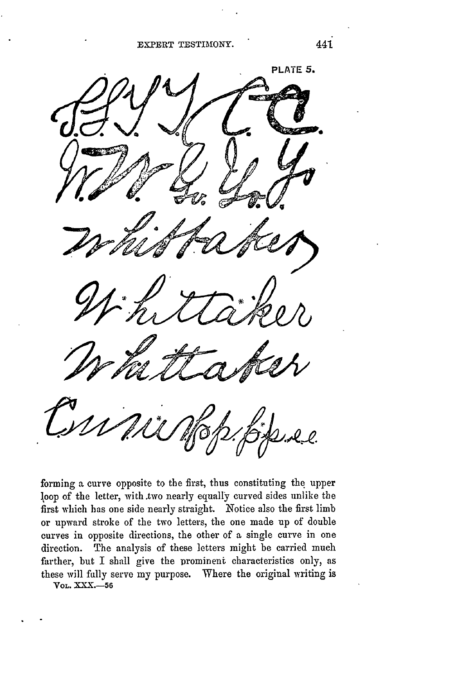

forming a curve opposite to the first, thus constituting the upper loop of the letter, with .two nearly equally curved sides unlike the first which has one side nearly straight. Notice also the first limb or upward stroke of the two letters, the one made up of double curves in opposite directions, the other of a single curve in one direction. The analysis of these letters might be carried much farther, but I shall give the prominent characteristics only, as these will fully serve my purpose. Where the original writing is

**VOL. XXX.-56**